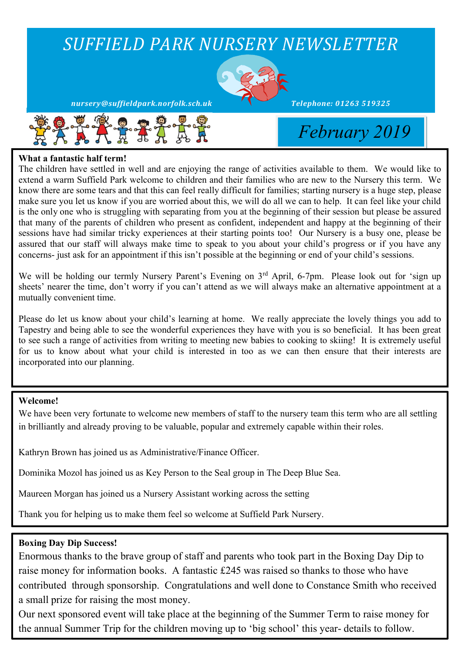

#### **What a fantastic half term!**

The children have settled in well and are enjoying the range of activities available to them. We would like to extend a warm Suffield Park welcome to children and their families who are new to the Nursery this term. We know there are some tears and that this can feel really difficult for families; starting nursery is a huge step, please make sure you let us know if you are worried about this, we will do all we can to help. It can feel like your child is the only one who is struggling with separating from you at the beginning of their session but please be assured that many of the parents of children who present as confident, independent and happy at the beginning of their sessions have had similar tricky experiences at their starting points too! Our Nursery is a busy one, please be assured that our staff will always make time to speak to you about your child's progress or if you have any concerns- just ask for an appointment if this isn't possible at the beginning or end of your child's sessions.

We will be holding our termly Nursery Parent's Evening on 3<sup>rd</sup> April, 6-7pm. Please look out for 'sign up sheets' nearer the time, don't worry if you can't attend as we will always make an alternative appointment at a mutually convenient time.

Please do let us know about your child's learning at home. We really appreciate the lovely things you add to Tapestry and being able to see the wonderful experiences they have with you is so beneficial. It has been great to see such a range of activities from writing to meeting new babies to cooking to skiing! It is extremely useful for us to know about what your child is interested in too as we can then ensure that their interests are incorporated into our planning.

#### **Welcome!**

We have been very fortunate to welcome new members of staff to the nursery team this term who are all settling in brilliantly and already proving to be valuable, popular and extremely capable within their roles.

Kathryn Brown has joined us as Administrative/Finance Officer.

Dominika Mozol has joined us as Key Person to the Seal group in The Deep Blue Sea.

Maureen Morgan has joined us a Nursery Assistant working across the setting

Thank you for helping us to make them feel so welcome at Suffield Park Nursery.

#### **Boxing Day Dip Success!**

Enormous thanks to the brave group of staff and parents who took part in the Boxing Day Dip to raise money for information books. A fantastic £245 was raised so thanks to those who have contributed through sponsorship. Congratulations and well done to Constance Smith who received a small prize for raising the most money.

Our next sponsored event will take place at the beginning of the Summer Term to raise money for the annual Summer Trip for the children moving up to 'big school' this year- details to follow.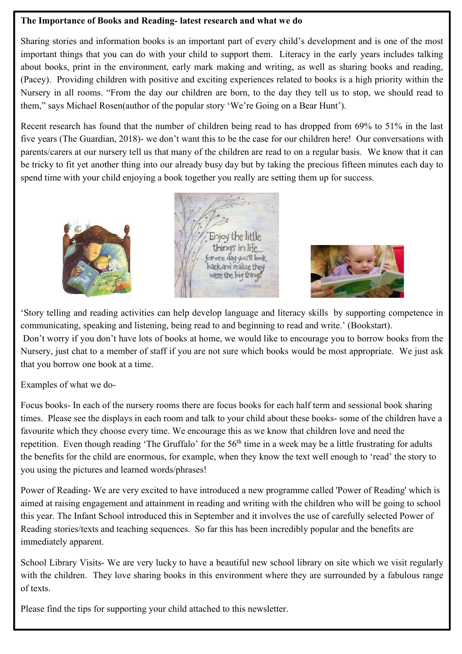#### **The Importance of Books and Reading- latest research and what we do**

Sharing stories and information books is an important part of every child's development and is one of the most important things that you can do with your child to support them. Literacy in the early years includes talking about books, print in the environment, early mark making and writing, as well as sharing books and reading, (Pacey). Providing children with positive and exciting experiences related to books is a high priority within the Nursery in all rooms. "From the day our children are born, to the day they tell us to stop, we should read to them," says Michael Rosen(author of the popular story 'We're Going on a Bear Hunt').

Recent research has found that the number of children being read to has dropped from 69% to 51% in the last five years (The Guardian, 2018)- we don't want this to be the case for our children here! Our conversations with parents/carers at our nursery tell us that many of the children are read to on a regular basis. We know that it can be tricky to fit yet another thing into our already busy day but by taking the precious fifteen minutes each day to spend time with your child enjoying a book together you really are setting them up for success.







'Story telling and reading activities can help develop language and literacy skills by supporting competence in communicating, speaking and listening, being read to and beginning to read and write.' (Bookstart). Don't worry if you don't have lots of books at home, we would like to encourage you to borrow books from the Nursery, just chat to a member of staff if you are not sure which books would be most appropriate. We just ask that you borrow one book at a time.

Examples of what we do-

Focus books- In each of the nursery rooms there are focus books for each half term and sessional book sharing times. Please see the displays in each room and talk to your child about these books- some of the children have a favourite which they choose every time. We encourage this as we know that children love and need the repetition. Even though reading 'The Gruffalo' for the 56<sup>th</sup> time in a week may be a little frustrating for adults the benefits for the child are enormous, for example, when they know the text well enough to 'read' the story to you using the pictures and learned words/phrases!

Power of Reading- We are very excited to have introduced a new programme called 'Power of Reading' which is aimed at raising engagement and attainment in reading and writing with the children who will be going to school this year. The Infant School introduced this in September and it involves the use of carefully selected Power of Reading stories/texts and teaching sequences. So far this has been incredibly popular and the benefits are immediately apparent.

School Library Visits- We are very lucky to have a beautiful new school library on site which we visit regularly with the children. They love sharing books in this environment where they are surrounded by a fabulous range of texts.

Please find the tips for supporting your child attached to this newsletter.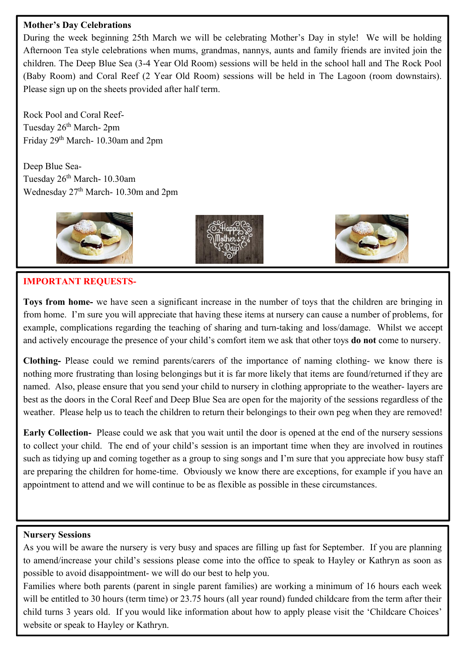#### **Mother's Day Celebrations**

During the week beginning 25th March we will be celebrating Mother's Day in style! We will be holding Afternoon Tea style celebrations when mums, grandmas, nannys, aunts and family friends are invited join the children. The Deep Blue Sea (3-4 Year Old Room) sessions will be held in the school hall and The Rock Pool (Baby Room) and Coral Reef (2 Year Old Room) sessions will be held in The Lagoon (room downstairs). Please sign up on the sheets provided after half term.

Rock Pool and Coral Reef-Tuesday 26<sup>th</sup> March- 2pm Friday 29th March- 10.30am and 2pm

Deep Blue Sea-Tuesday 26<sup>th</sup> March- 10.30am Wednesday  $27<sup>th</sup> March- 10.30m$  and  $2pm$ 







#### **IMPORTANT REQUESTS-**

**Toys from home-** we have seen a significant increase in the number of toys that the children are bringing in from home. I'm sure you will appreciate that having these items at nursery can cause a number of problems, for example, complications regarding the teaching of sharing and turn-taking and loss/damage. Whilst we accept and actively encourage the presence of your child's comfort item we ask that other toys **do not** come to nursery.

**Clothing-** Please could we remind parents/carers of the importance of naming clothing- we know there is nothing more frustrating than losing belongings but it is far more likely that items are found/returned if they are named. Also, please ensure that you send your child to nursery in clothing appropriate to the weather- layers are best as the doors in the Coral Reef and Deep Blue Sea are open for the majority of the sessions regardless of the weather. Please help us to teach the children to return their belongings to their own peg when they are removed!

**Early Collection-** Please could we ask that you wait until the door is opened at the end of the nursery sessions to collect your child. The end of your child's session is an important time when they are involved in routines such as tidying up and coming together as a group to sing songs and I'm sure that you appreciate how busy staff are preparing the children for home-time. Obviously we know there are exceptions, for example if you have an appointment to attend and we will continue to be as flexible as possible in these circumstances.

#### **Nursery Sessions**

As you will be aware the nursery is very busy and spaces are filling up fast for September. If you are planning to amend/increase your child's sessions please come into the office to speak to Hayley or Kathryn as soon as possible to avoid disappointment- we will do our best to help you.

Families where both parents (parent in single parent families) are working a minimum of 16 hours each week will be entitled to 30 hours (term time) or 23.75 hours (all year round) funded childcare from the term after their child turns 3 years old. If you would like information about how to apply please visit the 'Childcare Choices' website or speak to Hayley or Kathryn.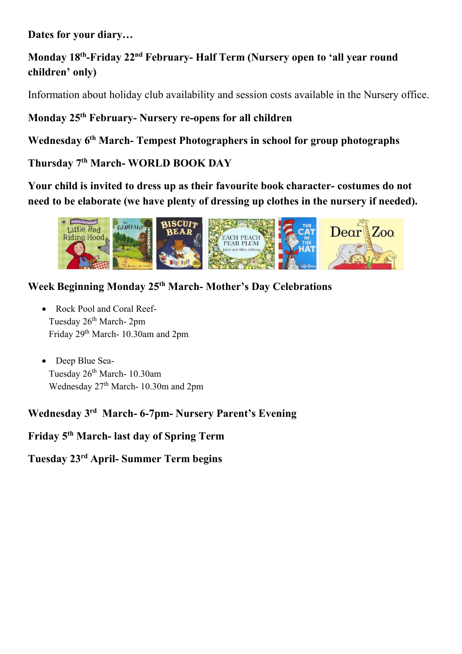**Dates for your diary…**

# **Monday 18th-Friday 22nd February- Half Term (Nursery open to 'all year round children' only)**

Information about holiday club availability and session costs available in the Nursery office.

## **Monday 25th February- Nursery re-opens for all children**

**Wednesday 6th March- Tempest Photographers in school for group photographs**

## **Thursday 7th March- WORLD BOOK DAY**

**Your child is invited to dress up as their favourite book character- costumes do not need to be elaborate (we have plenty of dressing up clothes in the nursery if needed).**



## **Week Beginning Monday 25th March- Mother's Day Celebrations**

- Rock Pool and Coral Reef-Tuesday 26<sup>th</sup> March- 2pm Friday 29th March- 10.30am and 2pm
- ∑ Deep Blue Sea-Tuesday 26<sup>th</sup> March- 10.30am Wednesday 27<sup>th</sup> March- 10.30m and 2pm

## **Wednesday 3rd March- 6-7pm- Nursery Parent's Evening**

**Friday 5th March- last day of Spring Term**

**Tuesday 23rd April- Summer Term begins**